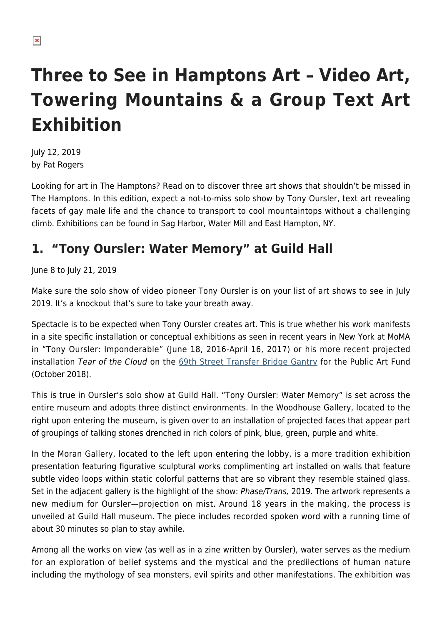## **Three to See in Hamptons Art – Video Art, Towering Mountains & a Group Text Art Exhibition**

July 12, 2019 by Pat Rogers

Looking for art in The Hamptons? Read on to discover three art shows that shouldn't be missed in The Hamptons. In this edition, expect a not-to-miss solo show by Tony Oursler, text art revealing facets of gay male life and the chance to transport to cool mountaintops without a challenging climb. Exhibitions can be found in Sag Harbor, Water Mill and East Hampton, NY.

## **1. "Tony Oursler: Water Memory" at Guild Hall**

June 8 to July 21, 2019

Make sure the solo show of video pioneer Tony Oursler is on your list of art shows to see in July 2019. It's a knockout that's sure to take your breath away.

Spectacle is to be expected when Tony Oursler creates art. This is true whether his work manifests in a site specific installation or conceptual exhibitions as seen in recent years in New York at MoMA in "Tony Oursler: Imponderable" (June 18, 2016-April 16, 2017) or his more recent projected installation Tear of the Cloud on the [69th Street Transfer Bridge Gantry](https://www.publicartfund.org/exhibitions/view/tony-oursler-tear-of-the-cloud/) for the Public Art Fund (October 2018).

This is true in Oursler's solo show at Guild Hall. "Tony Oursler: Water Memory" is set across the entire museum and adopts three distinct environments. In the Woodhouse Gallery, located to the right upon entering the museum, is given over to an installation of projected faces that appear part of groupings of talking stones drenched in rich colors of pink, blue, green, purple and white.

In the Moran Gallery, located to the left upon entering the lobby, is a more tradition exhibition presentation featuring figurative sculptural works complimenting art installed on walls that feature subtle video loops within static colorful patterns that are so vibrant they resemble stained glass. Set in the adjacent gallery is the highlight of the show: *Phase/Trans*, 2019. The artwork represents a new medium for Oursler—projection on mist. Around 18 years in the making, the process is unveiled at Guild Hall museum. The piece includes recorded spoken word with a running time of about 30 minutes so plan to stay awhile.

Among all the works on view (as well as in a zine written by Oursler), water serves as the medium for an exploration of belief systems and the mystical and the predilections of human nature including the mythology of sea monsters, evil spirits and other manifestations. The exhibition was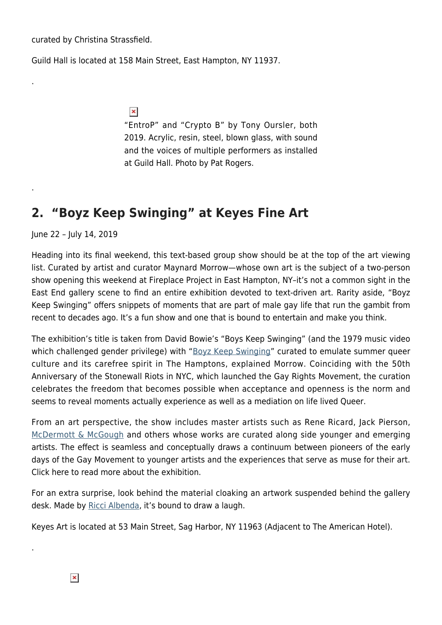curated by Christina Strassfield.

.

.

Guild Hall is located at 158 Main Street, East Hampton, NY 11937.

 $\pmb{\times}$ 

"EntroP" and "Crypto B" by Tony Oursler, both 2019. Acrylic, resin, steel, blown glass, with sound and the voices of multiple performers as installed at Guild Hall. Photo by Pat Rogers.

## **2. "Boyz Keep Swinging" at Keyes Fine Art**

June 22 – July 14, 2019

Heading into its final weekend, this text-based group show should be at the top of the art viewing list. Curated by artist and curator Maynard Morrow—whose own art is the subject of a two-person show opening this weekend at Fireplace Project in East Hampton, NY–it's not a common sight in the East End gallery scene to find an entire exhibition devoted to text-driven art. Rarity aside, "Boyz Keep Swinging" offers snippets of moments that are part of male gay life that run the gambit from recent to decades ago. It's a fun show and one that is bound to entertain and make you think.

The exhibition's title is taken from David Bowie's "Boys Keep Swinging" (and the 1979 music video which challenged gender privilege) with "[Boyz Keep Swinging"](https://hamptonsarthub.com/exhibition/boyz-keep-swinging/) curated to emulate summer queer culture and its carefree spirit in The Hamptons, explained Morrow. Coinciding with the 50th Anniversary of the Stonewall Riots in NYC, which launched the Gay Rights Movement, the curation celebrates the freedom that becomes possible when acceptance and openness is the norm and seems to reveal moments actually experience as well as a mediation on life lived Queer.

From an art perspective, the show includes master artists such as Rene Ricard, Jack Pierson, [McDermott & McGough](http://www.mcdermottandmcgough.com/) and others whose works are curated along side younger and emerging artists. The effect is seamless and conceptually draws a continuum between pioneers of the early days of the Gay Movement to younger artists and the experiences that serve as muse for their art. Click here to read more about the exhibition.

For an extra surprise, look behind the material cloaking an artwork suspended behind the gallery desk. Made by [Ricci Albenda,](https://www.guggenheim.org/artwork/artist/ricci-albenda) it's bound to draw a laugh.

Keyes Art is located at 53 Main Street, Sag Harbor, NY 11963 (Adjacent to The American Hotel).

.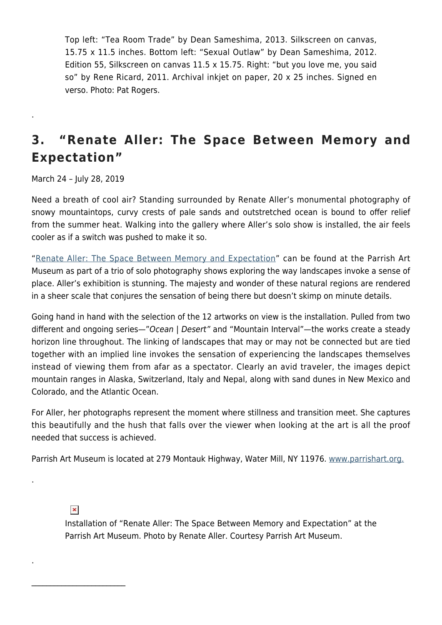Top left: "Tea Room Trade" by Dean Sameshima, 2013. Silkscreen on canvas, 15.75 x 11.5 inches. Bottom left: "Sexual Outlaw" by Dean Sameshima, 2012. Edition 55, Silkscreen on canvas 11.5 x 15.75. Right: "but you love me, you said so" by Rene Ricard, 2011. Archival inkjet on paper, 20 x 25 inches. Signed en verso. Photo: Pat Rogers.

## **3. "Renate Aller: The Space Between Memory and Expectation"**

March 24 – July 28, 2019

.

Need a breath of cool air? Standing surrounded by Renate Aller's monumental photography of snowy mountaintops, curvy crests of pale sands and outstretched ocean is bound to offer relief from the summer heat. Walking into the gallery where Aller's solo show is installed, the air feels cooler as if a switch was pushed to make it so.

"[Renate Aller: The Space Between Memory and Expectation"](https://parrishart.org/exhibitions/renate-aller-the-space-between-memory-and-expectation/) can be found at the Parrish Art Museum as part of a trio of solo photography shows exploring the way landscapes invoke a sense of place. Aller's exhibition is stunning. The majesty and wonder of these natural regions are rendered in a sheer scale that conjures the sensation of being there but doesn't skimp on minute details.

Going hand in hand with the selection of the 12 artworks on view is the installation. Pulled from two different and ongoing series—"Ocean | Desert" and "Mountain Interval"—the works create a steady horizon line throughout. The linking of landscapes that may or may not be connected but are tied together with an implied line invokes the sensation of experiencing the landscapes themselves instead of viewing them from afar as a spectator. Clearly an avid traveler, the images depict mountain ranges in Alaska, Switzerland, Italy and Nepal, along with sand dunes in New Mexico and Colorado, and the Atlantic Ocean.

For Aller, her photographs represent the moment where stillness and transition meet. She captures this beautifully and the hush that falls over the viewer when looking at the art is all the proof needed that success is achieved.

Parrish Art Museum is located at 279 Montauk Highway, Water Mill, NY 11976. [www.parrishart.org.](https://parrishart.org/)

 $\pmb{\times}$ 

\_\_\_\_\_\_\_\_\_\_\_\_\_\_\_\_\_\_\_\_\_\_\_\_\_

.

.

Installation of "Renate Aller: The Space Between Memory and Expectation" at the Parrish Art Museum. Photo by Renate Aller. Courtesy Parrish Art Museum.